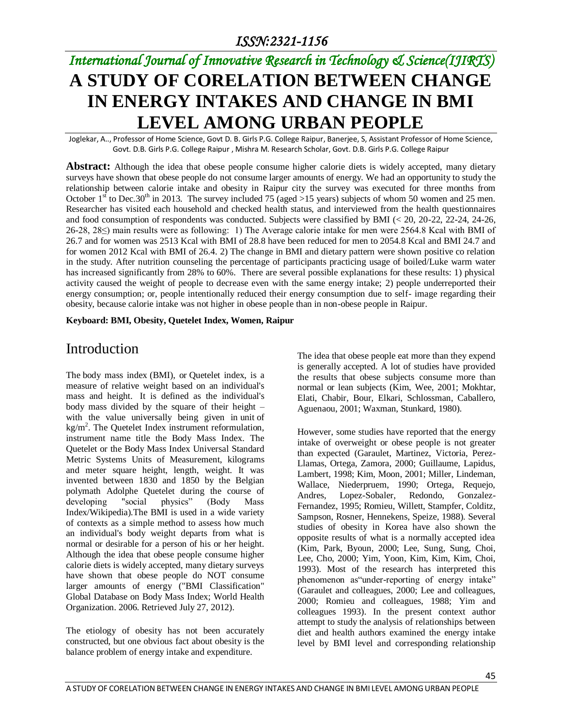#### *ISSN:2321-1156*

# *International Journal of Innovative Research in Technology & Science(IJIRTS)* **A STUDY OF CORELATION BETWEEN CHANGE IN ENERGY INTAKES AND CHANGE IN BMI LEVEL AMONG URBAN PEOPLE**

Joglekar, A.., Professor of Home Science, Govt D. B. Girls P.G. College Raipur, Banerjee, S, Assistant Professor of Home Science, Govt. D.B. Girls P.G. College Raipur , Mishra M. Research Scholar, Govt. D.B. Girls P.G. College Raipur

**Abstract:** Although the idea that obese people consume higher calorie diets is widely accepted, many dietary surveys have shown that obese people do not consume larger amounts of energy. We had an opportunity to study the relationship between calorie intake and obesity in Raipur city the survey was executed for three months from October 1<sup>st</sup> to Dec.30<sup>th</sup> in 2013. The survey included 75 (aged >15 years) subjects of whom 50 women and 25 men. Researcher has visited each household and checked health status, and interviewed from the health questionnaires and food consumption of respondents was conducted. Subjects were classified by BMI (< 20, 20-22, 22-24, 24-26, 26-28, 28≤) main results were as following: 1) The Average calorie intake for men were 2564.8 Kcal with BMI of 26.7 and for women was 2513 Kcal with BMI of 28.8 have been reduced for men to 2054.8 Kcal and BMI 24.7 and for women 2012 Kcal with BMI of 26.4. 2) The change in BMI and dietary pattern were shown positive co relation in the study. After nutrition counseling the percentage of participants practicing usage of boiled/Luke warm water has increased significantly from 28% to 60%. There are several possible explanations for these results: 1) physical activity caused the weight of people to decrease even with the same energy intake; 2) people underreported their energy consumption; or, people intentionally reduced their energy consumption due to self- image regarding their obesity, because calorie intake was not higher in obese people than in non-obese people in Raipur.

#### **Keyboard: BMI, Obesity, Quetelet Index, Women, Raipur**

#### Introduction

The body mass index (BMI), or Quetelet index, is a measure of relative weight based on an individual's mass and height. It is defined as the individual's body mass divided by the square of their height – with the value universally being given in unit of  $\text{kg/m}^2$ . The Quetelet Index instrument reformulation, instrument name title the Body Mass Index. The Quetelet or the Body Mass Index Universal Standard Metric Systems Units of Measurement, kilograms and meter square height, length, weight. It was invented between 1830 and 1850 by the Belgian polymath Adolphe Quetelet during the course of developing "social physics" (Body Mass Index/Wikipedia).The BMI is used in a wide variety of contexts as a simple method to assess how much an individual's body weight departs from what is normal or desirable for a person of his or her height. Although the idea that obese people consume higher calorie diets is widely accepted, many dietary surveys have shown that obese people do NOT consume larger amounts of energy ("BMI Classification" Global Database on Body Mass Index; World Health Organization. 2006. Retrieved July 27, 2012).

The etiology of obesity has not been accurately constructed, but one obvious fact about obesity is the balance problem of energy intake and expenditure.

The idea that obese people eat more than they expend is generally accepted. A lot of studies have provided the results that obese subjects consume more than normal or lean subjects (Kim, Wee, 2001; Mokhtar, Elati, Chabir, Bour, Elkari, Schlossman, Caballero, Aguenaou, 2001; Waxman, Stunkard, 1980).

However, some studies have reported that the energy intake of overweight or obese people is not greater than expected (Garaulet, Martinez, Victoria, Perez-Llamas, Ortega, Zamora, 2000; Guillaume, Lapidus, Lambert, 1998; Kim, Moon, 2001; Miller, Lindeman, Wallace, Niederpruem, 1990; Ortega, Requejo, Andres, Lopez-Sobaler, Redondo, Gonzalez-Fernandez, 1995; Romieu, Willett, Stampfer, Colditz, Sampson, Rosner, Hennekens, Speize, 1988). Several studies of obesity in Korea have also shown the opposite results of what is a normally accepted idea (Kim, Park, Byoun, 2000; Lee, Sung, Sung, Choi, Lee, Cho, 2000; Yim, Yoon, Kim, Kim, Kim, Choi, 1993). Most of the research has interpreted this phenomenon as"under-reporting of energy intake" (Garaulet and colleagues, 2000; Lee and colleagues, 2000; Romieu and colleagues, 1988; Yim and colleagues 1993). In the present context author attempt to study the analysis of relationships between diet and health authors examined the energy intake level by BMI level and corresponding relationship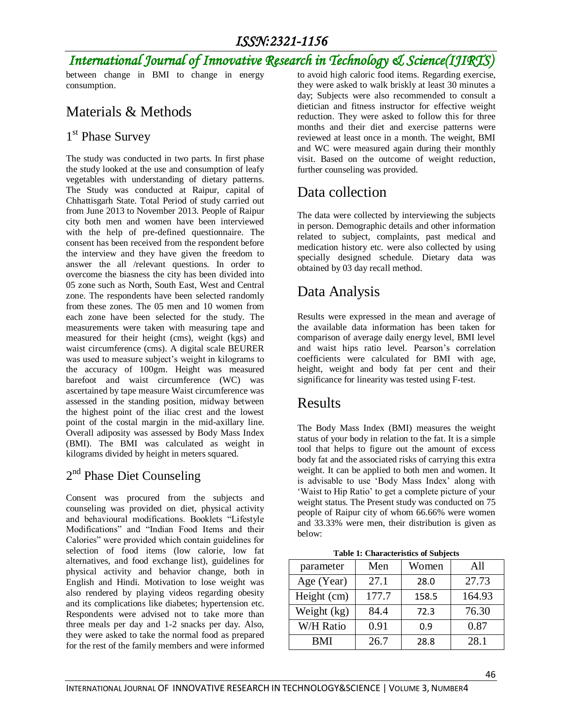# *International Journal of Innovative Research in Technology & Science(IJIRTS)*

between change in BMI to change in energy consumption.

# Materials & Methods

#### 1<sup>st</sup> Phase Survey

The study was conducted in two parts. In first phase the study looked at the use and consumption of leafy vegetables with understanding of dietary patterns. The Study was conducted at Raipur, capital of Chhattisgarh State. Total Period of study carried out from June 2013 to November 2013. People of Raipur city both men and women have been interviewed with the help of pre-defined questionnaire. The consent has been received from the respondent before the interview and they have given the freedom to answer the all /relevant questions. In order to overcome the biasness the city has been divided into 05 zone such as North, South East, West and Central zone. The respondents have been selected randomly from these zones. The 05 men and 10 women from each zone have been selected for the study. The measurements were taken with measuring tape and measured for their height (cms), weight (kgs) and waist circumference (cms). A digital scale BEURER was used to measure subject's weight in kilograms to the accuracy of 100gm. Height was measured barefoot and waist circumference (WC) was ascertained by tape measure Waist circumference was assessed in the standing position, midway between the highest point of the iliac crest and the lowest point of the costal margin in the mid-axillary line. Overall adiposity was assessed by Body Mass Index (BMI). The BMI was calculated as weight in kilograms divided by height in meters squared.

#### 2<sup>nd</sup> Phase Diet Counseling

Consent was procured from the subjects and counseling was provided on diet, physical activity and behavioural modifications. Booklets "Lifestyle Modifications" and "Indian Food Items and their Calories" were provided which contain guidelines for selection of food items (low calorie, low fat alternatives, and food exchange list), guidelines for physical activity and behavior change, both in English and Hindi. Motivation to lose weight was also rendered by playing videos regarding obesity and its complications like diabetes; hypertension etc. Respondents were advised not to take more than three meals per day and 1-2 snacks per day. Also, they were asked to take the normal food as prepared for the rest of the family members and were informed

to avoid high caloric food items. Regarding exercise, they were asked to walk briskly at least 30 minutes a day; Subjects were also recommended to consult a dietician and fitness instructor for effective weight reduction. They were asked to follow this for three months and their diet and exercise patterns were reviewed at least once in a month. The weight, BMI and WC were measured again during their monthly visit. Based on the outcome of weight reduction, further counseling was provided.

## Data collection

The data were collected by interviewing the subjects in person. Demographic details and other information related to subject, complaints, past medical and medication history etc. were also collected by using specially designed schedule. Dietary data was obtained by 03 day recall method.

# Data Analysis

Results were expressed in the mean and average of the available data information has been taken for comparison of average daily energy level, BMI level and waist hips ratio level. Pearson"s correlation coefficients were calculated for BMI with age, height, weight and body fat per cent and their significance for linearity was tested using F-test.

#### Results

The Body Mass Index (BMI) measures the weight status of your body in relation to the fat. It is a simple tool that helps to figure out the amount of excess body fat and the associated risks of carrying this extra weight. It can be applied to both men and women. It is advisable to use 'Body Mass Index' along with "Waist to Hip Ratio" to get a complete picture of your weight status. The Present study was conducted on 75 people of Raipur city of whom 66.66% were women and 33.33% were men, their distribution is given as below:

**Table 1: Characteristics of Subjects**

| parameter        | Men   | Women | All    |
|------------------|-------|-------|--------|
| Age (Year)       | 27.1  | 28.0  | 27.73  |
| Height (cm)      | 177.7 | 158.5 | 164.93 |
| Weight (kg)      | 84.4  | 72.3  | 76.30  |
| <b>W/H Ratio</b> | 0.91  | 0.9   | 0.87   |
| <b>BMI</b>       | 26.7  | 28.8  | 28.1   |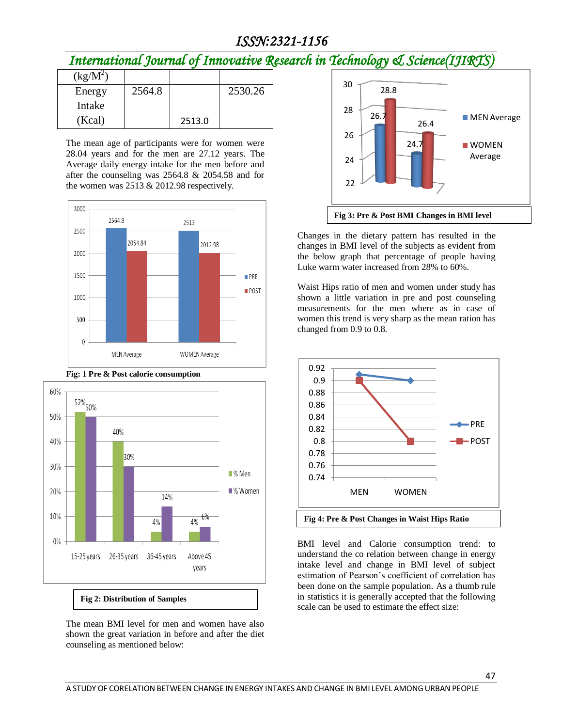#### *ISSN:2321-1156*

# *International Journal of Innovative Research in Technology & Science(IJIRTS)*

| $(kg/M^2)$ |        |        |         |
|------------|--------|--------|---------|
| Energy     | 2564.8 |        | 2530.26 |
| Intake     |        |        |         |
| (Kcal)     |        | 2513.0 |         |

The mean age of participants were for women were 28.04 years and for the men are 27.12 years. The Average daily energy intake for the men before and after the counseling was 2564.8 & 2054.58 and for the women was 2513 & 2012.98 respectively.





The mean BMI level for men and women have also shown the great variation in before and after the diet counseling as mentioned below:



Changes in the dietary pattern has resulted in the changes in BMI level of the subjects as evident from the below graph that percentage of people having Luke warm water increased from 28% to 60%.

Waist Hips ratio of men and women under study has shown a little variation in pre and post counseling measurements for the men where as in case of women this trend is very sharp as the mean ration has changed from 0.9 to 0.8.



BMI level and Calorie consumption trend: to understand the co relation between change in energy intake level and change in BMI level of subject estimation of Pearson"s coefficient of correlation has been done on the sample population. As a thumb rule in statistics it is generally accepted that the following scale can be used to estimate the effect size: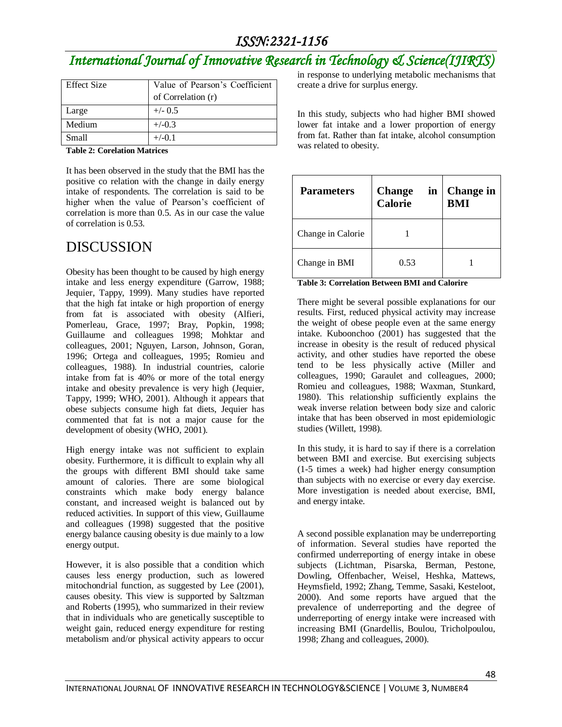# *International Journal of Innovative Research in Technology & Science(IJIRTS)*

| <b>Effect Size</b> | Value of Pearson's Coefficient<br>of Correlation (r) |
|--------------------|------------------------------------------------------|
| Large              | $+/- 0.5$                                            |
| Medium             | $+/-0.3$                                             |
| Small              | $+/-0.1$                                             |

**Table 2: Corelation Matrices**

It has been observed in the study that the BMI has the positive co relation with the change in daily energy intake of respondents. The correlation is said to be higher when the value of Pearson"s coefficient of correlation is more than 0.5. As in our case the value of correlation is 0.53.

## DISCUSSION

Obesity has been thought to be caused by high energy intake and less energy expenditure (Garrow, 1988; Jequier, Tappy, 1999). Many studies have reported that the high fat intake or high proportion of energy from fat is associated with obesity (Alfieri, Pomerleau, Grace, 1997; Bray, Popkin, 1998; Guillaume and colleagues 1998; Mohktar and colleagues, 2001; Nguyen, Larson, Johnson, Goran, 1996; Ortega and colleagues, 1995; Romieu and colleagues, 1988). In industrial countries, calorie intake from fat is 40% or more of the total energy intake and obesity prevalence is very high (Jequier, Tappy, 1999; WHO, 2001). Although it appears that obese subjects consume high fat diets, Jequier has commented that fat is not a major cause for the development of obesity (WHO, 2001).

High energy intake was not sufficient to explain obesity. Furthermore, it is difficult to explain why all the groups with different BMI should take same amount of calories. There are some biological constraints which make body energy balance constant, and increased weight is balanced out by reduced activities. In support of this view, Guillaume and colleagues (1998) suggested that the positive energy balance causing obesity is due mainly to a low energy output.

However, it is also possible that a condition which causes less energy production, such as lowered mitochondrial function, as suggested by Lee (2001), causes obesity. This view is supported by Saltzman and Roberts (1995), who summarized in their review that in individuals who are genetically susceptible to weight gain, reduced energy expenditure for resting metabolism and/or physical activity appears to occur in response to underlying metabolic mechanisms that create a drive for surplus energy.

In this study, subjects who had higher BMI showed lower fat intake and a lower proportion of energy from fat. Rather than fat intake, alcohol consumption was related to obesity.

| <b>Parameters</b> | <b>Change</b><br>in<br>Calorie | <b>Change</b> in<br><b>BMI</b> |
|-------------------|--------------------------------|--------------------------------|
| Change in Calorie |                                |                                |
| Change in BMI     | 0.53                           |                                |

**Table 3: Correlation Between BMI and Calorire**

There might be several possible explanations for our results. First, reduced physical activity may increase the weight of obese people even at the same energy intake. Kuboonchoo (2001) has suggested that the increase in obesity is the result of reduced physical activity, and other studies have reported the obese tend to be less physically active (Miller and colleagues, 1990; Garaulet and colleagues, 2000; Romieu and colleagues, 1988; Waxman, Stunkard, 1980). This relationship sufficiently explains the weak inverse relation between body size and caloric intake that has been observed in most epidemiologic studies (Willett, 1998).

In this study, it is hard to say if there is a correlation between BMI and exercise. But exercising subjects (1-5 times a week) had higher energy consumption than subjects with no exercise or every day exercise. More investigation is needed about exercise, BMI, and energy intake.

A second possible explanation may be underreporting of information. Several studies have reported the confirmed underreporting of energy intake in obese subjects (Lichtman, Pisarska, Berman, Pestone, Dowling, Offenbacher, Weisel, Heshka, Mattews, Heymsfield, 1992; Zhang, Temme, Sasaki, Kesteloot, 2000). And some reports have argued that the prevalence of underreporting and the degree of underreporting of energy intake were increased with increasing BMI (Gnardellis, Boulou, Tricholpoulou, 1998; Zhang and colleagues, 2000).